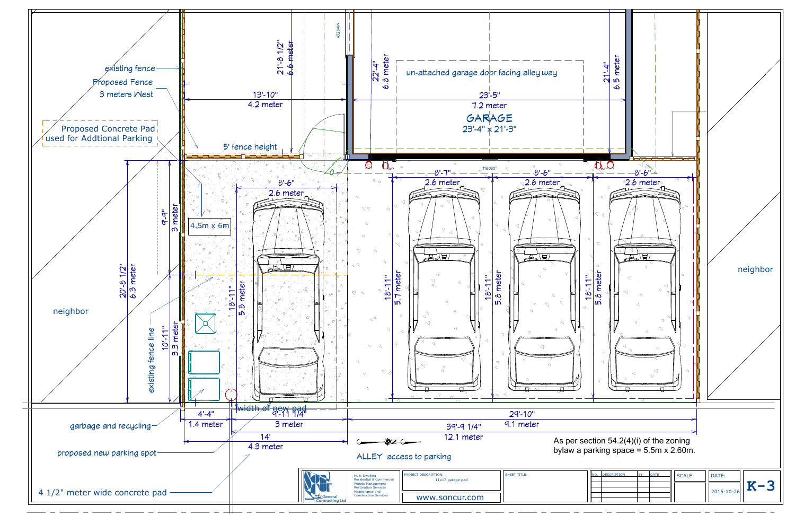